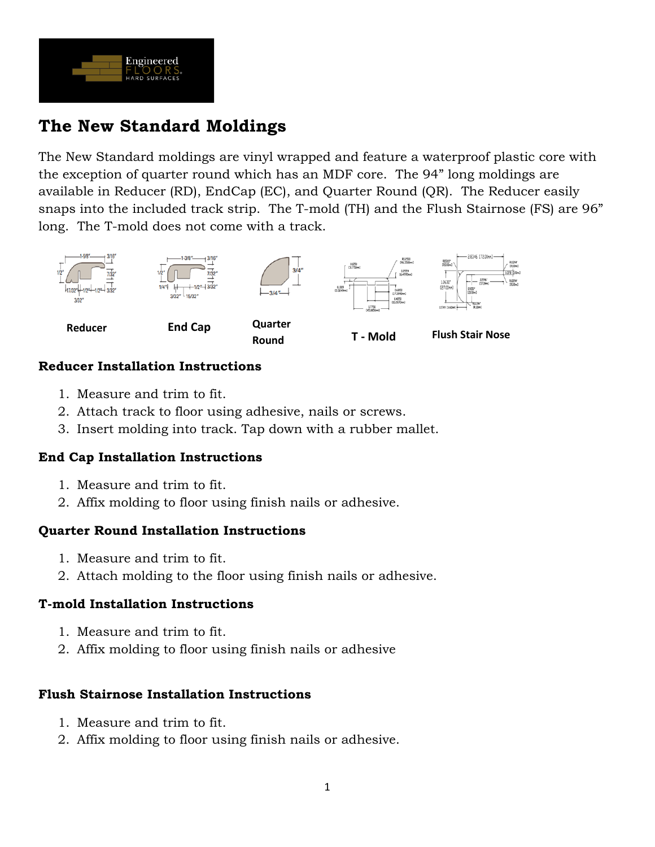

# **The New Standard Moldings**

The New Standard moldings are vinyl wrapped and feature a waterproof plastic core with the exception of quarter round which has an MDF core. The 94" long moldings are available in Reducer (RD), EndCap (EC), and Quarter Round (QR). The Reducer easily snaps into the included track strip. The T-mold (TH) and the Flush Stairnose (FS) are 96" long. The T-mold does not come with a track.



## **Reducer Installation Instructions**

- 1. Measure and trim to fit.
- 2. Attach track to floor using adhesive, nails or screws.
- 3. Insert molding into track. Tap down with a rubber mallet.

## **End Cap Installation Instructions**

- 1. Measure and trim to fit.
- 2. Affix molding to floor using finish nails or adhesive.

## **Quarter Round Installation Instructions**

- 1. Measure and trim to fit.
- 2. Attach molding to the floor using finish nails or adhesive.

## **T-mold Installation Instructions**

- 1. Measure and trim to fit.
- 2. Affix molding to floor using finish nails or adhesive

## **Flush Stairnose Installation Instructions**

- 1. Measure and trim to fit.
- 2. Affix molding to floor using finish nails or adhesive.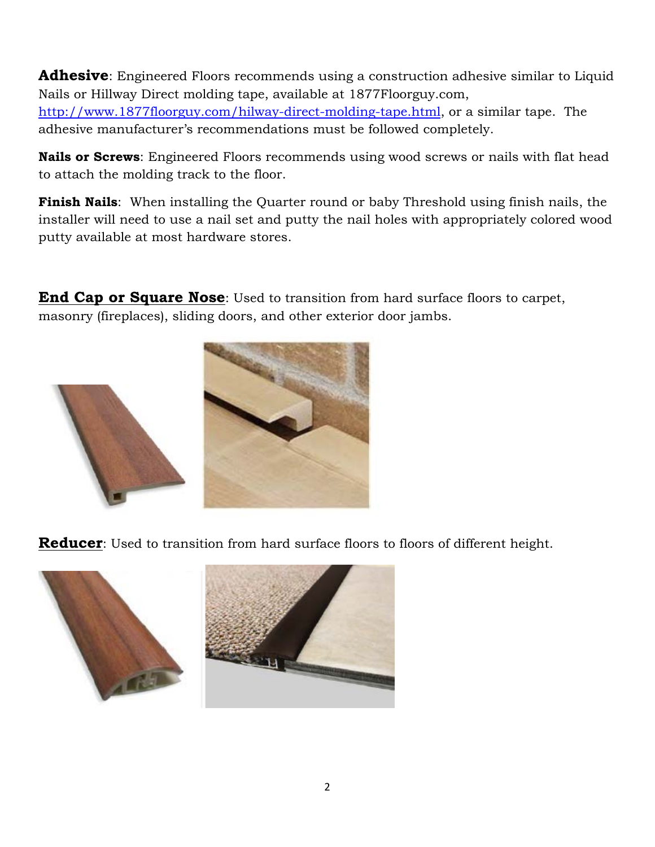**Adhesive**: Engineered Floors recommends using a construction adhesive similar to Liquid Nails or Hillway Direct molding tape, available at 1877Floorguy.com, [http://www.1877floorguy.com/hilway-direct-molding-tape.html,](http://www.1877floorguy.com/hilway-direct-molding-tape.html) or a similar tape. The adhesive manufacturer's recommendations must be followed completely.

**Nails or Screws**: Engineered Floors recommends using wood screws or nails with flat head to attach the molding track to the floor.

**Finish Nails**: When installing the Quarter round or baby Threshold using finish nails, the installer will need to use a nail set and putty the nail holes with appropriately colored wood putty available at most hardware stores.

**End Cap or Square Nose**: Used to transition from hard surface floors to carpet, masonry (fireplaces), sliding doors, and other exterior door jambs.



**Reducer**: Used to transition from hard surface floors to floors of different height.